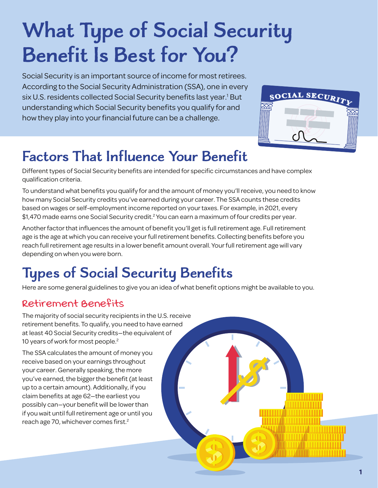# **What Type of Social Security Benefit Is Best for You?**

Social Security is an important source of income for most retirees. According to the Social Security Administration (SSA), one in every six U.S. residents collected Social Security benefits last year.<sup>1</sup> But understanding which Social Security benefits you qualify for and how they play into your financial future can be a challenge.



# **Factors That Influence Your Benefit**

Different types of Social Security benefits are intended for specific circumstances and have complex qualification criteria.

To understand what benefits you qualify for and the amount of money you'll receive, you need to know how many Social Security credits you've earned during your career. The SSA counts these credits based on wages or self-employment income reported on your taxes. For example, in 2021, every \$1,470 made earns one Social Security credit.<sup>2</sup> You can earn a maximum of four credits per year.

Another factor that influences the amount of benefit you'll get is full retirement age. Full retirement age is the age at which you can receive your full retirement benefits. Collecting benefits before you reach full retirement age results in a lower benefit amount overall. Your full retirement age will vary depending on when you were born.

# **Types of Social Security Benefits**

Here are some general guidelines to give you an idea of what benefit options might be available to you.

## **Retirement Benefits**

The majority of social security recipients in the U.S. receive retirement benefits. To qualify, you need to have earned at least 40 Social Security credits—the equivalent of 10 years of work for most people.<sup>2</sup>

The SSA calculates the amount of money you receive based on your earnings throughout your career. Generally speaking, the more you've earned, the bigger the benefit (at least up to a certain amount). Additionally, if you claim benefits at age 62—the earliest you possibly can—your benefit will be lower than if you wait until full retirement age or until you reach age 70, whichever comes first.<sup>2</sup>